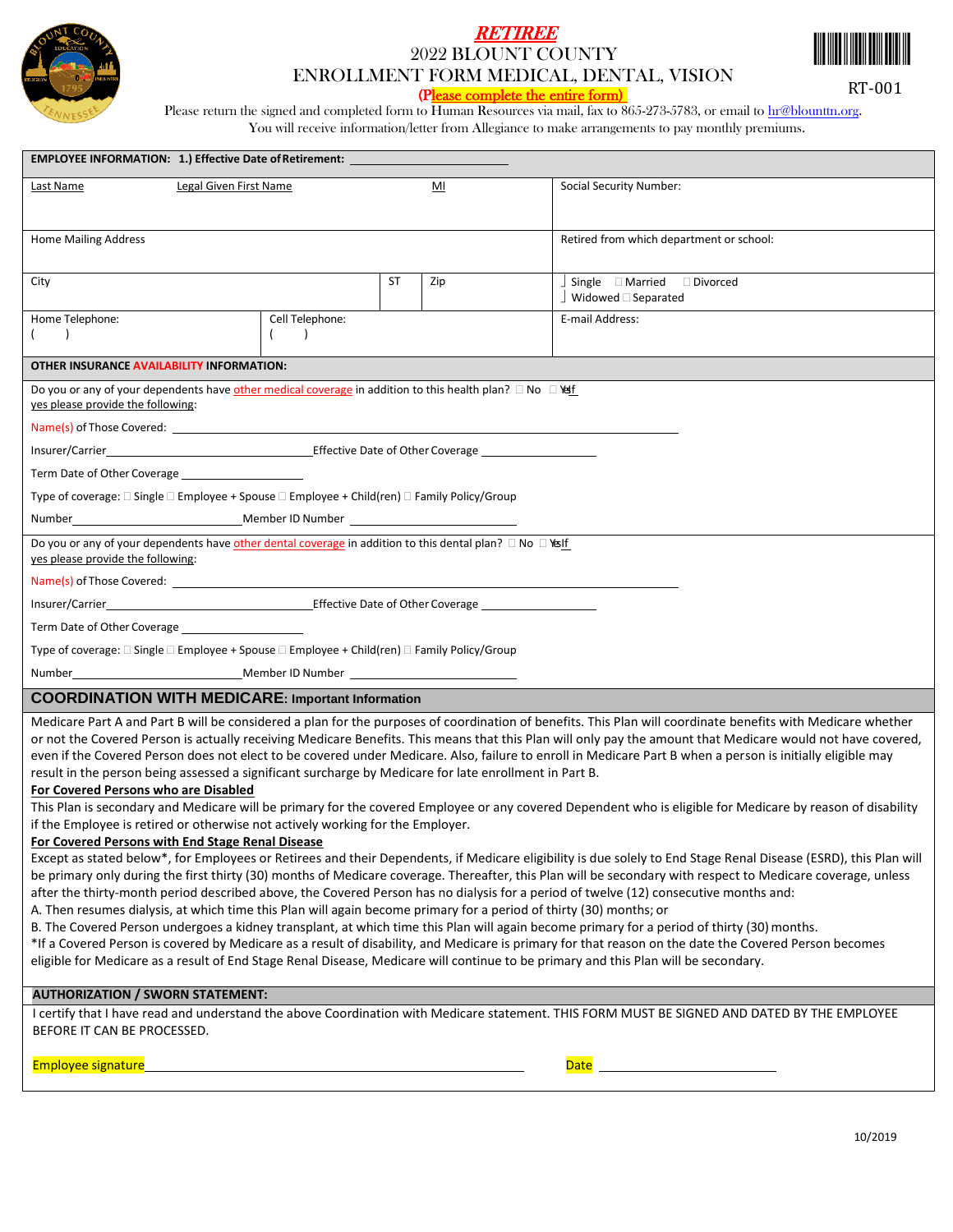

## **RETIREE** 2022 BLOUNT COUNTY ENROLLMENT FORM MEDICAL, DENTAL, VISION



RT-001

(Please complete the entire form)

Please return the signed and completed form to Human Resources via mail, fax to 865-273-5783, or email t[o hr@blounttn.org.](mailto:hr@blounttn.org) You will receive information/letter from Allegiance to make arrangements to pay monthly premiums.

| <b>EMPLOYEE INFORMATION: 1.) Effective Date of Retirement:</b>                                                                                                                                                                                                                                                                                                                                                                                                                                                                                                                                                                                                                                                                                                                                                                                                                                                                                                                                                                                                                                                                                                                                                                                                                                                                                                                                                                                                                                                                                                                                                                                                                                                                                                                                                                                                                                                                                                                                 |                 |           |     |                                                    |  |  |
|------------------------------------------------------------------------------------------------------------------------------------------------------------------------------------------------------------------------------------------------------------------------------------------------------------------------------------------------------------------------------------------------------------------------------------------------------------------------------------------------------------------------------------------------------------------------------------------------------------------------------------------------------------------------------------------------------------------------------------------------------------------------------------------------------------------------------------------------------------------------------------------------------------------------------------------------------------------------------------------------------------------------------------------------------------------------------------------------------------------------------------------------------------------------------------------------------------------------------------------------------------------------------------------------------------------------------------------------------------------------------------------------------------------------------------------------------------------------------------------------------------------------------------------------------------------------------------------------------------------------------------------------------------------------------------------------------------------------------------------------------------------------------------------------------------------------------------------------------------------------------------------------------------------------------------------------------------------------------------------------|-----------------|-----------|-----|----------------------------------------------------|--|--|
| Legal Given First Name<br>Last Name                                                                                                                                                                                                                                                                                                                                                                                                                                                                                                                                                                                                                                                                                                                                                                                                                                                                                                                                                                                                                                                                                                                                                                                                                                                                                                                                                                                                                                                                                                                                                                                                                                                                                                                                                                                                                                                                                                                                                            |                 |           | MI  | Social Security Number:                            |  |  |
|                                                                                                                                                                                                                                                                                                                                                                                                                                                                                                                                                                                                                                                                                                                                                                                                                                                                                                                                                                                                                                                                                                                                                                                                                                                                                                                                                                                                                                                                                                                                                                                                                                                                                                                                                                                                                                                                                                                                                                                                |                 |           |     |                                                    |  |  |
| <b>Home Mailing Address</b>                                                                                                                                                                                                                                                                                                                                                                                                                                                                                                                                                                                                                                                                                                                                                                                                                                                                                                                                                                                                                                                                                                                                                                                                                                                                                                                                                                                                                                                                                                                                                                                                                                                                                                                                                                                                                                                                                                                                                                    |                 |           |     | Retired from which department or school:           |  |  |
|                                                                                                                                                                                                                                                                                                                                                                                                                                                                                                                                                                                                                                                                                                                                                                                                                                                                                                                                                                                                                                                                                                                                                                                                                                                                                                                                                                                                                                                                                                                                                                                                                                                                                                                                                                                                                                                                                                                                                                                                |                 |           |     |                                                    |  |  |
| City                                                                                                                                                                                                                                                                                                                                                                                                                                                                                                                                                                                                                                                                                                                                                                                                                                                                                                                                                                                                                                                                                                                                                                                                                                                                                                                                                                                                                                                                                                                                                                                                                                                                                                                                                                                                                                                                                                                                                                                           |                 | <b>ST</b> | Zip | $\Box$ Single $\Box$ Married $\Box$ Divorced       |  |  |
| Home Telephone:                                                                                                                                                                                                                                                                                                                                                                                                                                                                                                                                                                                                                                                                                                                                                                                                                                                                                                                                                                                                                                                                                                                                                                                                                                                                                                                                                                                                                                                                                                                                                                                                                                                                                                                                                                                                                                                                                                                                                                                | Cell Telephone: |           |     | $\Box$ Widowed $\Box$ Separated<br>E-mail Address: |  |  |
| $\rightarrow$                                                                                                                                                                                                                                                                                                                                                                                                                                                                                                                                                                                                                                                                                                                                                                                                                                                                                                                                                                                                                                                                                                                                                                                                                                                                                                                                                                                                                                                                                                                                                                                                                                                                                                                                                                                                                                                                                                                                                                                  | $\lambda$       |           |     |                                                    |  |  |
| OTHER INSURANCE AVAILABILITY INFORMATION:                                                                                                                                                                                                                                                                                                                                                                                                                                                                                                                                                                                                                                                                                                                                                                                                                                                                                                                                                                                                                                                                                                                                                                                                                                                                                                                                                                                                                                                                                                                                                                                                                                                                                                                                                                                                                                                                                                                                                      |                 |           |     |                                                    |  |  |
| Do you or any of your dependents have other medical coverage in addition to this health plan? □ No □ \stri                                                                                                                                                                                                                                                                                                                                                                                                                                                                                                                                                                                                                                                                                                                                                                                                                                                                                                                                                                                                                                                                                                                                                                                                                                                                                                                                                                                                                                                                                                                                                                                                                                                                                                                                                                                                                                                                                     |                 |           |     |                                                    |  |  |
| yes please provide the following:                                                                                                                                                                                                                                                                                                                                                                                                                                                                                                                                                                                                                                                                                                                                                                                                                                                                                                                                                                                                                                                                                                                                                                                                                                                                                                                                                                                                                                                                                                                                                                                                                                                                                                                                                                                                                                                                                                                                                              |                 |           |     |                                                    |  |  |
|                                                                                                                                                                                                                                                                                                                                                                                                                                                                                                                                                                                                                                                                                                                                                                                                                                                                                                                                                                                                                                                                                                                                                                                                                                                                                                                                                                                                                                                                                                                                                                                                                                                                                                                                                                                                                                                                                                                                                                                                |                 |           |     |                                                    |  |  |
|                                                                                                                                                                                                                                                                                                                                                                                                                                                                                                                                                                                                                                                                                                                                                                                                                                                                                                                                                                                                                                                                                                                                                                                                                                                                                                                                                                                                                                                                                                                                                                                                                                                                                                                                                                                                                                                                                                                                                                                                |                 |           |     |                                                    |  |  |
| Term Date of Other Coverage                                                                                                                                                                                                                                                                                                                                                                                                                                                                                                                                                                                                                                                                                                                                                                                                                                                                                                                                                                                                                                                                                                                                                                                                                                                                                                                                                                                                                                                                                                                                                                                                                                                                                                                                                                                                                                                                                                                                                                    |                 |           |     |                                                    |  |  |
| Type of coverage: □ Single □ Employee + Spouse □ Employee + Child(ren) □ Family Policy/Group                                                                                                                                                                                                                                                                                                                                                                                                                                                                                                                                                                                                                                                                                                                                                                                                                                                                                                                                                                                                                                                                                                                                                                                                                                                                                                                                                                                                                                                                                                                                                                                                                                                                                                                                                                                                                                                                                                   |                 |           |     |                                                    |  |  |
|                                                                                                                                                                                                                                                                                                                                                                                                                                                                                                                                                                                                                                                                                                                                                                                                                                                                                                                                                                                                                                                                                                                                                                                                                                                                                                                                                                                                                                                                                                                                                                                                                                                                                                                                                                                                                                                                                                                                                                                                |                 |           |     |                                                    |  |  |
| Do you or any of your dependents have other dental coverage in addition to this dental plan? $\Box$ No $\Box$ Yeslf<br>yes please provide the following:                                                                                                                                                                                                                                                                                                                                                                                                                                                                                                                                                                                                                                                                                                                                                                                                                                                                                                                                                                                                                                                                                                                                                                                                                                                                                                                                                                                                                                                                                                                                                                                                                                                                                                                                                                                                                                       |                 |           |     |                                                    |  |  |
|                                                                                                                                                                                                                                                                                                                                                                                                                                                                                                                                                                                                                                                                                                                                                                                                                                                                                                                                                                                                                                                                                                                                                                                                                                                                                                                                                                                                                                                                                                                                                                                                                                                                                                                                                                                                                                                                                                                                                                                                |                 |           |     |                                                    |  |  |
|                                                                                                                                                                                                                                                                                                                                                                                                                                                                                                                                                                                                                                                                                                                                                                                                                                                                                                                                                                                                                                                                                                                                                                                                                                                                                                                                                                                                                                                                                                                                                                                                                                                                                                                                                                                                                                                                                                                                                                                                |                 |           |     |                                                    |  |  |
| Term Date of Other Coverage                                                                                                                                                                                                                                                                                                                                                                                                                                                                                                                                                                                                                                                                                                                                                                                                                                                                                                                                                                                                                                                                                                                                                                                                                                                                                                                                                                                                                                                                                                                                                                                                                                                                                                                                                                                                                                                                                                                                                                    |                 |           |     |                                                    |  |  |
| Type of coverage: $\square$ Single $\square$ Employee + Spouse $\square$ Employee + Child(ren) $\square$ Family Policy/Group                                                                                                                                                                                                                                                                                                                                                                                                                                                                                                                                                                                                                                                                                                                                                                                                                                                                                                                                                                                                                                                                                                                                                                                                                                                                                                                                                                                                                                                                                                                                                                                                                                                                                                                                                                                                                                                                   |                 |           |     |                                                    |  |  |
|                                                                                                                                                                                                                                                                                                                                                                                                                                                                                                                                                                                                                                                                                                                                                                                                                                                                                                                                                                                                                                                                                                                                                                                                                                                                                                                                                                                                                                                                                                                                                                                                                                                                                                                                                                                                                                                                                                                                                                                                |                 |           |     |                                                    |  |  |
| <b>COORDINATION WITH MEDICARE: Important Information</b>                                                                                                                                                                                                                                                                                                                                                                                                                                                                                                                                                                                                                                                                                                                                                                                                                                                                                                                                                                                                                                                                                                                                                                                                                                                                                                                                                                                                                                                                                                                                                                                                                                                                                                                                                                                                                                                                                                                                       |                 |           |     |                                                    |  |  |
| Medicare Part A and Part B will be considered a plan for the purposes of coordination of benefits. This Plan will coordinate benefits with Medicare whether<br>or not the Covered Person is actually receiving Medicare Benefits. This means that this Plan will only pay the amount that Medicare would not have covered,<br>even if the Covered Person does not elect to be covered under Medicare. Also, failure to enroll in Medicare Part B when a person is initially eligible may<br>result in the person being assessed a significant surcharge by Medicare for late enrollment in Part B.<br>For Covered Persons who are Disabled<br>This Plan is secondary and Medicare will be primary for the covered Employee or any covered Dependent who is eligible for Medicare by reason of disability<br>if the Employee is retired or otherwise not actively working for the Employer.<br>For Covered Persons with End Stage Renal Disease<br>Except as stated below*, for Employees or Retirees and their Dependents, if Medicare eligibility is due solely to End Stage Renal Disease (ESRD), this Plan will<br>be primary only during the first thirty (30) months of Medicare coverage. Thereafter, this Plan will be secondary with respect to Medicare coverage, unless<br>after the thirty-month period described above, the Covered Person has no dialysis for a period of twelve (12) consecutive months and:<br>A. Then resumes dialysis, at which time this Plan will again become primary for a period of thirty (30) months; or<br>B. The Covered Person undergoes a kidney transplant, at which time this Plan will again become primary for a period of thirty (30) months.<br>*If a Covered Person is covered by Medicare as a result of disability, and Medicare is primary for that reason on the date the Covered Person becomes<br>eligible for Medicare as a result of End Stage Renal Disease, Medicare will continue to be primary and this Plan will be secondary. |                 |           |     |                                                    |  |  |
| <b>AUTHORIZATION / SWORN STATEMENT:</b>                                                                                                                                                                                                                                                                                                                                                                                                                                                                                                                                                                                                                                                                                                                                                                                                                                                                                                                                                                                                                                                                                                                                                                                                                                                                                                                                                                                                                                                                                                                                                                                                                                                                                                                                                                                                                                                                                                                                                        |                 |           |     |                                                    |  |  |
| I certify that I have read and understand the above Coordination with Medicare statement. THIS FORM MUST BE SIGNED AND DATED BY THE EMPLOYEE<br>BEFORE IT CAN BE PROCESSED.                                                                                                                                                                                                                                                                                                                                                                                                                                                                                                                                                                                                                                                                                                                                                                                                                                                                                                                                                                                                                                                                                                                                                                                                                                                                                                                                                                                                                                                                                                                                                                                                                                                                                                                                                                                                                    |                 |           |     |                                                    |  |  |
| Employee signature                                                                                                                                                                                                                                                                                                                                                                                                                                                                                                                                                                                                                                                                                                                                                                                                                                                                                                                                                                                                                                                                                                                                                                                                                                                                                                                                                                                                                                                                                                                                                                                                                                                                                                                                                                                                                                                                                                                                                                             |                 |           |     |                                                    |  |  |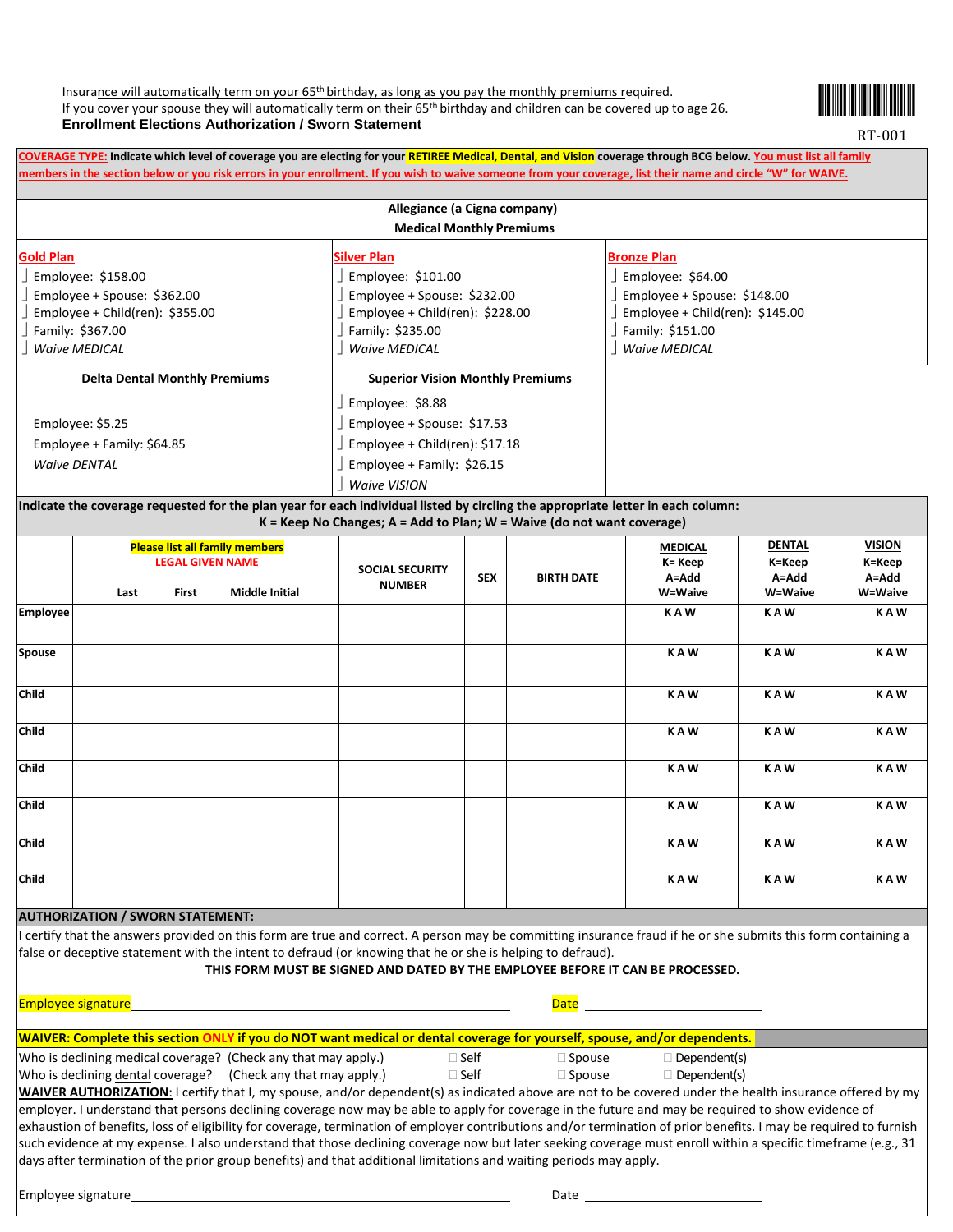Insurance will automatically term on your 65th birthday, as long as you pay the monthly premiums required. If you cover your spouse they will automatically term on their 65<sup>th</sup> birthday and children can be covered up to age 26. **Enrollment Elections Authorization / Sworn Statement**



RT-001

**COVERAGE TYPE: Indicate which level of coverage you are electing for your RETIREE Medical, Dental, and Vision coverage through BCG below. You must list all family members in the section below or you risk errors in your enrollment. If you wish to waive someone from your coverage, list their name and circle "W" for WAIVE.**

|                                                                                                                                                 | Allegiance (a Cigna company)<br><b>Medical Monthly Premiums</b>                                                                                         |                                                                                                                                                          |
|-------------------------------------------------------------------------------------------------------------------------------------------------|---------------------------------------------------------------------------------------------------------------------------------------------------------|----------------------------------------------------------------------------------------------------------------------------------------------------------|
| Gold Plan<br>Employee: \$158.00<br>Employee + Spouse: $$362.00$<br>Employee + Child(ren): $$355.00$<br>Family: \$367.00<br><b>Waive MEDICAL</b> | <b>Silver Plan</b><br>Employee: \$101.00<br>Employee + Spouse: \$232.00<br>Employee + Child(ren): $$228.00$<br>Family: \$235.00<br><b>Waive MEDICAL</b> | <b>Bronze Plan</b><br>Employee: $$64.00$<br>Employee + Spouse: $$148.00$<br>Employee + Child(ren): $$145.00$<br>Family: \$151.00<br><b>Waive MEDICAL</b> |
| <b>Delta Dental Monthly Premiums</b>                                                                                                            | <b>Superior Vision Monthly Premiums</b>                                                                                                                 |                                                                                                                                                          |
| Employee: \$5.25<br>Employee + Family: \$64.85<br><b>Waive DENTAL</b>                                                                           | Employee: \$8.88<br>Employee + Spouse: \$17.53<br>Employee + Child(ren): \$17.18<br>Employee + Family: \$26.15<br><b>Waive VISION</b>                   |                                                                                                                                                          |
| Indicate the coverage requested for the plan year for each individual listed by circling the appropriate letter in each column:                 |                                                                                                                                                         |                                                                                                                                                          |

**K = Keep No Changes; A = Add to Plan; W = Waive (do not want coverage) Please list all family members LEGAL GIVEN NAME Last First Middle Initial SOCIAL SECURITY NUMBER SEX BIRTH DATE MEDICAL K= Keep A=Add W=Waive DENTAL K=Keep A=Add W=Waive VISION K=Keep A=Add W=Waive Employee K A W K A W K A W Spouse K A W K A W K A W Child K A W K A W K A W Child K A W K A W K A W Child K A W K A W K A W Child K A W K A W K A W Child K A W K A W K A W Child K A W K A W K A W**

## **AUTHORIZATION / SWORN STATEMENT:**

certify that the answers provided on this form are true and correct. A person may be committing insurance fraud if he or she submits this form containing a false or deceptive statement with the intent to defraud (or knowing that he or she is helping to defraud).

## **THIS FORM MUST BE SIGNED AND DATED BY THE EMPLOYEE BEFORE IT CAN BE PROCESSED.**

Employee signature **Date of Employee Signature**  $\overline{\phantom{a}}$ 

| <u> WAIVER: Complete this section O</u> | <u>Y if you do NOT want medical or dental coverage for yourself, spouse, and/or dependents.</u> |  |  |
|-----------------------------------------|-------------------------------------------------------------------------------------------------|--|--|
|-----------------------------------------|-------------------------------------------------------------------------------------------------|--|--|

Who is declining medical coverage? (Check any that may apply.)  $\Box$  Self  $\Box$  Spouse  $\Box$  Dependent(s)

Who is declining dental coverage? (Check any that may apply.)  $\Box$  Self  $\Box$  Spouse  $\Box$  Dependent(s)

**WAIVER AUTHORIZATION**: I certify that I, my spouse, and/or dependent(s) as indicated above are not to be covered under the health insurance offered by my employer. I understand that persons declining coverage now may be able to apply for coverage in the future and may be required to show evidence of exhaustion of benefits, loss of eligibility for coverage, termination of employer contributions and/or termination of prior benefits. I may be required to furnish such evidence at my expense. I also understand that those declining coverage now but later seeking coverage must enroll within a specific timeframe (e.g., 31 days after termination of the prior group benefits) and that additional limitations and waiting periods may apply.

Employee signature Date Date of the Date of the Date of the Date of the Date of the Date of the Date of the Date of the Date of the Date of the Date of the Date of the Date of the Date of the Date of the Date of the Date o